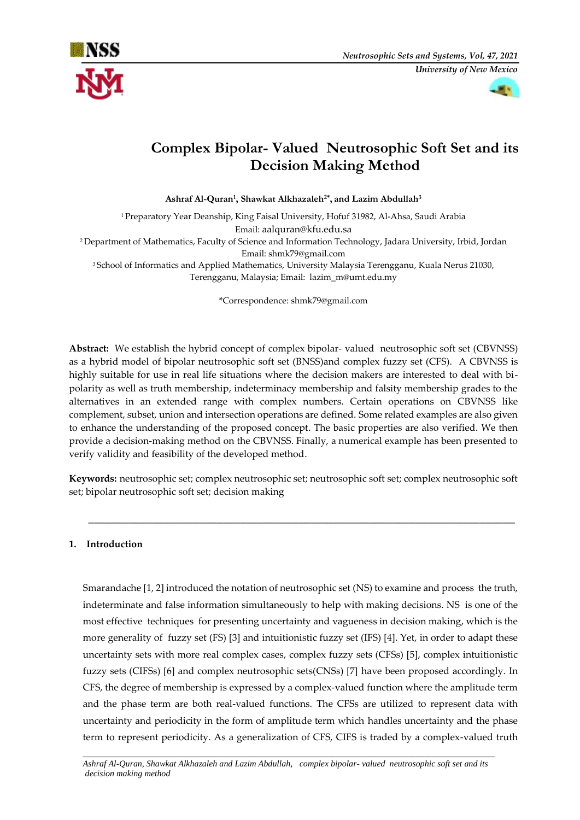



# **Complex Bipolar- Valued Neutrosophic Soft Set and its Decision Making Method**

**Ashraf Al-Quran<sup>1</sup> , Shawkat Alkhazaleh2\* , and Lazim Abdullah<sup>3</sup>**

<sup>1</sup> Preparatory Year Deanship, King Faisal University, Hofuf 31982, Al-Ahsa, Saudi Arabia Email: [aalquran@kfu.edu.sa](mailto:aalquran@kfu.edu.sa) <sup>2</sup> Department of Mathematics, Faculty of Science and Information Technology, Jadara University, Irbid, Jordan Email: shmk79@gmail.com

<sup>3</sup> School of Informatics and Applied Mathematics, University Malaysia Terengganu, Kuala Nerus 21030, Terengganu, Malaysia; Email: [lazim\\_m@umt.edu.my](mailto:lazim_m@umt.edu.my)

**\***Correspondence: [shmk79@gmail.com](mailto:shmk79@gmail.com)

**Abstract:** We establish the hybrid concept of complex bipolar- valued neutrosophic soft set (CBVNSS) as a hybrid model of bipolar neutrosophic soft set (BNSS)and complex fuzzy set (CFS). A CBVNSS is highly suitable for use in real life situations where the decision makers are interested to deal with bipolarity as well as truth membership, indeterminacy membership and falsity membership grades to the alternatives in an extended range with complex numbers. Certain operations on CBVNSS like complement, subset, union and intersection operations are defined. Some related examples are also given to enhance the understanding of the proposed concept. The basic properties are also verified. We then provide a decision-making method on the CBVNSS. Finally, a numerical example has been presented to verify validity and feasibility of the developed method.

**Keywords:** neutrosophic set; complex neutrosophic set; neutrosophic soft set; complex neutrosophic soft set; bipolar neutrosophic soft set; decision making

\_\_\_\_\_\_\_\_\_\_\_\_\_\_\_\_\_\_\_\_\_\_\_\_\_\_\_\_\_\_\_\_\_\_\_\_\_\_\_\_\_\_\_\_\_\_\_\_\_\_\_\_\_\_\_\_\_\_\_\_\_\_\_\_\_\_\_\_\_\_\_\_\_

## **1. Introduction**

Smarandache [1, 2] introduced the notation of neutrosophic set (NS) to examine and process the truth, indeterminate and false information simultaneously to help with making decisions. NS is one of the most effective techniques for presenting uncertainty and vagueness in decision making, which is the more generality of fuzzy set (FS) [3] and intuitionistic fuzzy set (IFS) [4]. Yet, in order to adapt these uncertainty sets with more real complex cases, complex fuzzy sets (CFSs) [5], complex intuitionistic fuzzy sets (CIFSs) [6] and complex neutrosophic sets(CNSs) [7] have been proposed accordingly. In CFS, the degree of membership is expressed by a complex-valued function where the amplitude term and the phase term are both real-valued functions. The CFSs are utilized to represent data with uncertainty and periodicity in the form of amplitude term which handles uncertainty and the phase term to represent periodicity. As a generalization of CFS, CIFS is traded by a complex-valued truth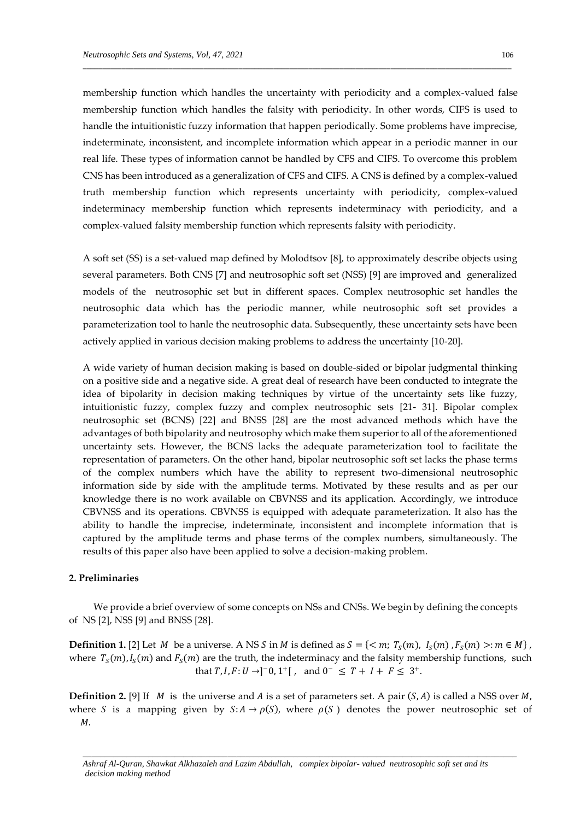membership function which handles the uncertainty with periodicity and a complex-valued false membership function which handles the falsity with periodicity. In other words, CIFS is used to handle the intuitionistic fuzzy information that happen periodically. Some problems have imprecise, indeterminate, inconsistent, and incomplete information which appear in a periodic manner in our real life. These types of information cannot be handled by CFS and CIFS. To overcome this problem CNS has been introduced as a generalization of CFS and CIFS. A CNS is defined by a complex-valued truth membership function which represents uncertainty with periodicity, complex-valued indeterminacy membership function which represents indeterminacy with periodicity, and a complex-valued falsity membership function which represents falsity with periodicity.

\_\_\_\_\_\_\_\_\_\_\_\_\_\_\_\_\_\_\_\_\_\_\_\_\_\_\_\_\_\_\_\_\_\_\_\_\_\_\_\_\_\_\_\_\_\_\_\_\_\_\_\_\_\_\_\_\_\_\_\_\_\_\_\_\_\_\_\_\_\_\_\_\_\_\_\_\_\_\_\_\_\_\_\_\_\_\_\_\_\_\_\_\_\_\_\_\_\_\_\_\_\_\_\_\_\_\_\_\_\_

A soft set (SS) is a set-valued map defined by Molodtsov [8], to approximately describe objects using several parameters. Both CNS [7] and neutrosophic soft set (NSS) [9] are improved and generalized models of the neutrosophic set but in different spaces. Complex neutrosophic set handles the neutrosophic data which has the periodic manner, while neutrosophic soft set provides a parameterization tool to hanle the neutrosophic data. Subsequently, these uncertainty sets have been actively applied in various decision making problems to address the uncertainty [10-20].

A wide variety of human decision making is based on double-sided or bipolar judgmental thinking on a positive side and a negative side. A great deal of research have been conducted to integrate the idea of bipolarity in decision making techniques by virtue of the uncertainty sets like fuzzy, intuitionistic fuzzy, complex fuzzy and complex neutrosophic sets [21- 31]. Bipolar complex neutrosophic set (BCNS) [22] and BNSS [28] are the most advanced methods which have the advantages of both bipolarity and neutrosophy which make them superior to all of the aforementioned uncertainty sets. However, the BCNS lacks the adequate parameterization tool to facilitate the representation of parameters. On the other hand, bipolar neutrosophic soft set lacks the phase terms of the complex numbers which have the ability to represent two-dimensional neutrosophic information side by side with the amplitude terms. Motivated by these results and as per our knowledge there is no work available on CBVNSS and its application. Accordingly, we introduce CBVNSS and its operations. CBVNSS is equipped with adequate parameterization. It also has the ability to handle the imprecise, indeterminate, inconsistent and incomplete information that is captured by the amplitude terms and phase terms of the complex numbers, simultaneously. The results of this paper also have been applied to solve a decision-making problem.

## **2. Preliminaries**

 We provide a brief overview of some concepts on NSs and CNSs. We begin by defining the concepts of NS [2], NSS [9] and BNSS [28].

**Definition 1.** [2] Let  $M$  be a universe. A NS S in  $M$  is defined as  $S = \{< m; T_S(m), I_S(m), F_S(m) >: m \in M\}$ , where  $T_S(m)$ ,  $I_S(m)$  and  $F_S(m)$  are the truth, the indeterminacy and the falsity membership functions, such that  $T, I, F: U \to ]^{-}0, 1^{+} [$ , and  $0^{-} \leq T + I + F \leq 3^{+}$ .

**Definition 2.** [9] If *M* is the universe and *A* is a set of parameters set. A pair  $(S, A)$  is called a NSS over *M*, where S is a mapping given by  $S: A \to \rho(S)$ , where  $\rho(S)$  denotes the power neutrosophic set of  $M$ .

*Ashraf Al-Quran, Shawkat Alkhazaleh and Lazim Abdullah, complex bipolar- valued neutrosophic soft set and its decision making method*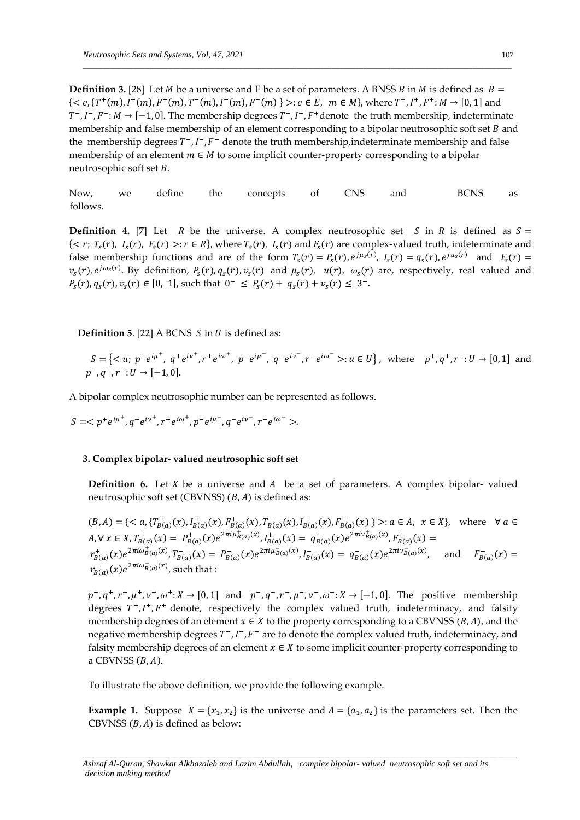**Definition 3.** [28] Let *M* be a universe and E be a set of parameters. A BNSS *B* in *M* is defined as  $B =$  ${  : e \in E, m \in M}$ , where  $T^+, I^+, F^+ : M \to [0,1]$  and  $T^-, I^-, F^-: M \to [-1, 0].$  The membership degrees  $T^+, I^+, F^+$  denote the truth membership, indeterminate membership and false membership of an element corresponding to a bipolar neutrosophic soft set  $B$  and the membership degrees  $T^-, I^-, F^-$  denote the truth membership, indeterminate membership and false membership of an element  $m \in M$  to some implicit counter-property corresponding to a bipolar neutrosophic soft set  $B$ .

\_\_\_\_\_\_\_\_\_\_\_\_\_\_\_\_\_\_\_\_\_\_\_\_\_\_\_\_\_\_\_\_\_\_\_\_\_\_\_\_\_\_\_\_\_\_\_\_\_\_\_\_\_\_\_\_\_\_\_\_\_\_\_\_\_\_\_\_\_\_\_\_\_\_\_\_\_\_\_\_\_\_\_\_\_\_\_\_\_\_\_\_\_\_\_\_\_\_\_\_\_\_\_\_\_\_\_\_\_\_

Now, we define the concepts of CNS and BCNS as follows.

**Definition** 4. [7] Let R be the universe. A complex neutrosophic set S in R is defined as  $S =$  $\{ \langle r, T_s(r), I_s(r), F_s(r) \rangle : r \in R \}$ , where  $T_s(r), I_s(r)$  and  $F_s(r)$  are complex-valued truth, indeterminate and false membership functions and are of the form  $T_s(r) = P_s(r)$ ,  $e^{j\mu_s(r)}$ ,  $I_s(r) = q_s(r)$ ,  $e^{ju_s(r)}$  and  $F_s(r) =$  $v_s(r)$ ,  $e^{j\omega_s(r)}$ . By definition,  $P_s(r)$ ,  $q_s(r)$ ,  $v_s(r)$  and  $\mu_s(r)$ ,  $u(r)$ ,  $\omega_s(r)$  are, respectively, real valued and  $P_s(r)$ ,  $q_s(r)$ ,  $v_s(r) \in [0, 1]$ , such that  $0^- \le P_s(r) + q_s(r) + v_s(r) \le 3$ <sup>+</sup>.

**Definition 5**. [22] A BCNS  $S$  in  $U$  is defined as:

 $S = \{ \langle u; p^+ e^{i\mu^+}, q^+ e^{i\nu^+}, r^+ e^{i\omega^+}, p^- e^{i\mu^-}, q^- e^{i\nu^-}, r^- e^{i\omega^-} \rangle : u \in U \}, \text{ where } p^+, q^+, r^+ : U \to [0, 1] \text{ and } U \}$  $p^-, q^-, r^-: U \to [-1, 0].$ 

A bipolar complex neutrosophic number can be represented as follows.

$$
S = .
$$

#### **3. Complex bipolar- valued neutrosophic soft set**

**Definition 6.** Let  $X$  be a universe and  $A$  be a set of parameters. A complex bipolar-valued neutrosophic soft set (CBVNSS)  $(B, A)$  is defined as:

$$
(B, A) = \{ \langle a, \{T^+_{B(a)}(x), I^+_{B(a)}(x), F^-_{B(a)}(x), I^-_{B(a)}(x), I^-_{B(a)}(x), I^-_{B(a)}(x)\} \rangle : a \in A, x \in X \}, \text{ where } \forall a \in A, \forall x \in X, T^+_{B(a)}(x) = P^+_{B(a)}(x)e^{2\pi i \mu^+_{B(a)}(x)}, I^+_{B(a)}(x) = q^+_{B(a)}(x)e^{2\pi i \nu^+_{B(a)}(x)}, F^+_{B(a)}(x) = r^+_{B(a)}(x)e^{2\pi i \omega^+_{B(a)}(x)}, T^-_{B(a)}(x) = P^-_{B(a)}(x)e^{2\pi i \mu^-_{B(a)}(x)}, I^-_{B(a)}(x) = q^-_{B(a)}(x)e^{2\pi i \nu^-_{B(a)}(x)}, \text{ and } F^-_{B(a)}(x) = r^-_{B(a)}(x)e^{2\pi i \omega^-_{B(a)}(x)}, \text{ such that :}
$$

 $p^+, q^+, r^+, \mu^+, \nu^+, \omega^+$ :  $X \to [0, 1]$  and  $p^-, q^-, r^-, \mu^-, \nu^-, \omega^-$ :  $X \to [-1, 0]$ . The positive membership degrees  $T^+$ ,  $I^+$ ,  $F^+$  denote, respectively the complex valued truth, indeterminacy, and falsity membership degrees of an element  $x \in X$  to the property corresponding to a CBVNSS ( $B$ , $A$ ), and the negative membership degrees  $T^-, I^-, F^-$  are to denote the complex valued truth, indeterminacy, and falsity membership degrees of an element  $x \in X$  to some implicit counter-property corresponding to a CBVNSS  $(B, A)$ .

To illustrate the above definition, we provide the following example.

**Example 1.** Suppose  $X = \{x_1, x_2\}$  is the universe and  $A = \{a_1, a_2\}$  is the parameters set. Then the CBVNSS  $(B, A)$  is defined as below:

*\_\_\_\_\_\_\_\_\_\_\_\_\_\_\_\_\_\_\_\_\_\_\_\_\_\_\_\_\_\_\_\_\_\_\_\_\_\_\_\_\_\_\_\_\_\_\_\_\_\_\_\_\_\_\_\_\_\_\_\_\_\_\_\_\_\_\_\_\_\_\_\_\_\_\_\_\_\_\_\_\_\_\_\_\_\_\_\_\_\_\_\_\_\_\_\_\_\_\_*

*Ashraf Al-Quran, Shawkat Alkhazaleh and Lazim Abdullah, complex bipolar- valued neutrosophic soft set and its decision making method*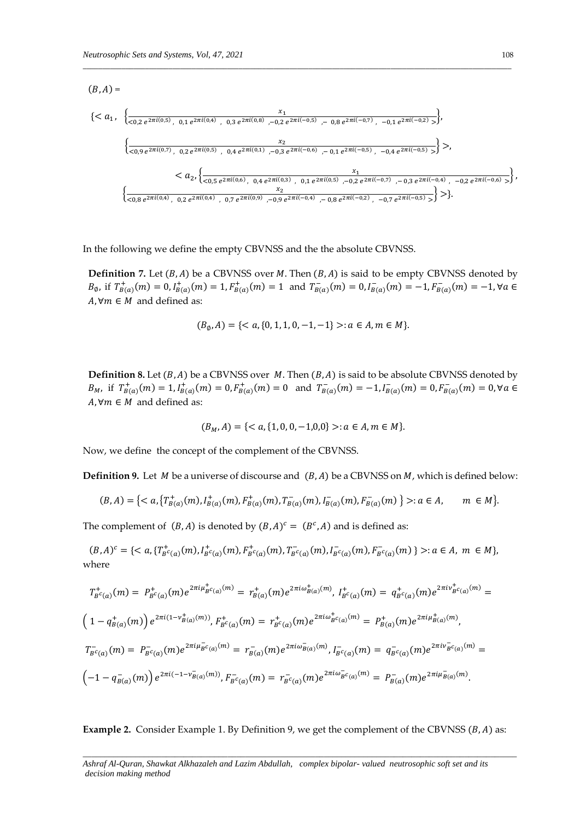$$
(B, A) = \n\begin{cases}\n\left\{\n\langle a_1, \begin{cases}\n\frac{x_1}{\langle 0, 2 \, e^{2\pi i (0, 5)}, 0, 1 \, e^{2\pi i (0, 4)}, 0, 3 \, e^{2\pi i (0, 8)}, -0, 2 \, e^{2\pi i (-0, 5)}, -0, 8 \, e^{2\pi i (-0, 7)}, -0, 1 \, e^{2\pi i (-0, 2)} > \end{cases}\n\right\}, \\
\left\{\n\frac{x_2}{\langle 0, 9 \, e^{2\pi i (0, 7)}, 0, 2 \, e^{2\pi i (0, 5)}, 0, 4 \, e^{2\pi i (0, 1)}, -0, 3 \, e^{2\pi i (-0, 6)}, -0, 1 \, e^{2\pi i (-0, 5)}, -0, 4 \, e^{2\pi i (-0, 5)} > \end{cases}\n\right\}, \\
\left\{\n\frac{x_1}{\langle 0, 9 \, e^{2\pi i (0, 7)}, 0, 2 \, e^{2\pi i (0, 6)}, 0, 4 \, e^{2\pi i (0, 3)}, 0, 1 \, e^{2\pi i (0, 5)}, -0, 2 \, e^{2\pi i (-0, 7)}, -0, 3 \, e^{2\pi i (-0, 4)}, -0, 2 \, e^{2\pi i (-0, 6)} > \end{cases}\n\right\},\n\begin{cases}\n\frac{x_1}{\langle 0, 8 \, e^{2\pi i (0, 4)}, 0, 2 \, e^{2\pi i (0, 4)}, 0, 7 \, e^{2\pi i (0, 9)}, -0, 9 \, e^{2\pi i (-0, 4)}, -0, 8 \, e^{2\pi i (-0, 2)}, -0, 7 \, e^{2\pi i (-0, 5)} > \end{cases}\n\right\}.\n\end{cases}
$$

\_\_\_\_\_\_\_\_\_\_\_\_\_\_\_\_\_\_\_\_\_\_\_\_\_\_\_\_\_\_\_\_\_\_\_\_\_\_\_\_\_\_\_\_\_\_\_\_\_\_\_\_\_\_\_\_\_\_\_\_\_\_\_\_\_\_\_\_\_\_\_\_\_\_\_\_\_\_\_\_\_\_\_\_\_\_\_\_\_\_\_\_\_\_\_\_\_\_\_\_\_\_\_\_\_\_\_\_\_\_

In the following we define the empty CBVNSS and the the absolute CBVNSS.

**Definition 7.** Let  $(B, A)$  be a CBVNSS over M. Then  $(B, A)$  is said to be empty CBVNSS denoted by  $B_{\emptyset}$ , if  $T_{B(a)}^+(m) = 0$ ,  $I_{B(a)}^+(m) = 1$ ,  $F_{B(a)}^+(m) = 1$  and  $T_{B(a)}^-(m) = 0$ ,  $I_{B(a)}^-(m) = -1$ ,  $F_{B(a)}^-(m) = -1$ ,  $\forall a \in$  $A, \forall m \in M$  and defined as:

$$
(B_{\emptyset}, A) = \{ < a, \{0, 1, 1, 0, -1, -1\} > : a \in A, m \in M \}.
$$

**Definition 8.** Let  $(B, A)$  be a CBVNSS over  $M$ . Then  $(B, A)$  is said to be absolute CBVNSS denoted by  $B_M$ , if  $T^+_{B(a)}(m) = 1, I^+_{B(a)}(m) = 0, F^+_{B(a)}(m) = 0$  and  $T^-_{B(a)}(m) = -1, I^-_{B(a)}(m) = 0, F^-_{B(a)}(m) = 0, \forall a \in \mathbb{R}$  $A, \forall m \in M$  and defined as:

$$
(B_M, A) = \{ < a, \{1, 0, 0, -1, 0, 0\} > : a \in A, m \in M \}.
$$

Now, we define the concept of the complement of the CBVNSS.

**Definition 9.** Let  $M$  be a universe of discourse and  $(B, A)$  be a CBVNSS on  $M$ , which is defined below:

$$
(B, A) = \{ \langle a, \{T^+_{B(a)}(m), I^+_{B(a)}(m), F^+_{B(a)}(m), T^-_{B(a)}(m), I^-_{B(a)}(m), F^-_{B(a)}(m) \} \rangle : a \in A, \quad m \in M \}.
$$

The complement of  $(B, A)$  is denoted by  $(B, A)^c = (B^c, A)$  and is defined as:

$$
(B,A)^c = \{ \langle a, \{T_{B^c(a)}^+(m), I_{B^c(a)}^+(m), F_{B^c(a)}^+(m), T_{B^c(a)}^-(m), I_{B^c(a)}^-(m), F_{B^c(a)}^-(m) \} \rangle : a \in A, m \in M \},\
$$
 where

$$
T_{B^c(a)}^+(m) = P_{B^c(a)}^+(m)e^{2\pi i\mu_{B^c(a)}^+(m)} = r_{B(a)}^+(m)e^{2\pi i\omega_{B(a)}^+(m)}, I_{B^c(a)}^+(m) = q_{B^c(a)}^+(m)e^{2\pi i\nu_{B^c(a)}^+(m)} =
$$
\n
$$
\left(1 - q_{B(a)}^+(m)\right)e^{2\pi i(1 - \nu_{B(a)}^+(m))}, F_{B^c(a)}^+(m) = r_{B^c(a)}^+(m)e^{2\pi i\omega_{B^c(a)}^+(m)} = P_{B(a)}^+(m)e^{2\pi i\mu_{B(a)}^+(m)},
$$
\n
$$
T_{B^c(a)}^-(m) = P_{B^c(a)}^-(m)e^{2\pi i\mu_{B^c(a)}^-(m)} = r_{B(a)}^-(m)e^{2\pi i\omega_{B(a)}^-(m)}, I_{B^c(a)}^-(m) = q_{B^c(a)}^-(m)e^{2\pi i\nu_{B^c(a)}^-(m)} =
$$
\n
$$
\left(-1 - q_{B(a)}^-(m)\right)e^{2\pi i(-1 - \nu_{B(a)}^-(m))}, F_{B^c(a)}^-(m) = r_{B^c(a)}^-(m)e^{2\pi i\omega_{B^c(a)}^-(m)} = P_{B(a)}^-(m)e^{2\pi i\mu_{B(a)}^-(m)}.
$$

Example 2. Consider Example 1. By Definition 9, we get the complement of the CBVNSS (B, A) as: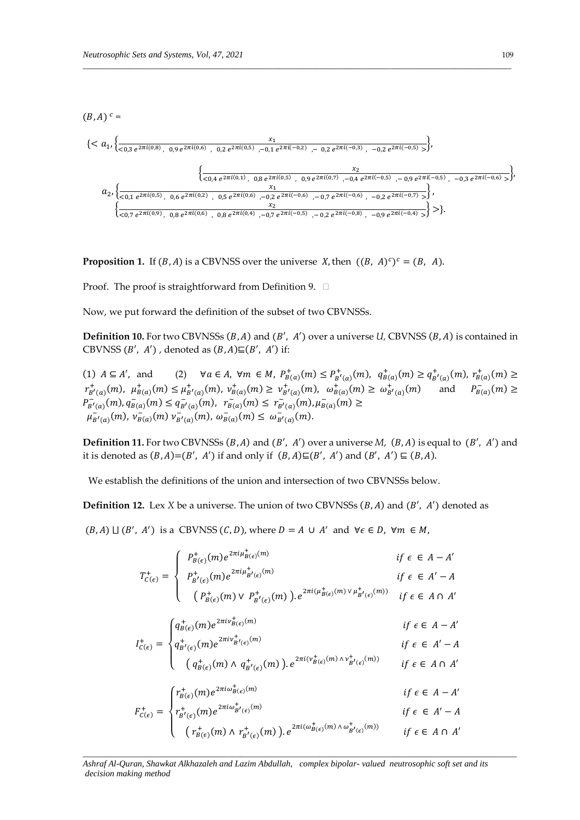$(B, A)$ <sup>c</sup> =

$$
\{
$$
a_2,\{\frac{x_2}{<0,1 e^{2\pi i(0,5)}, 0,6 e^{2\pi i(0,2)}, 0,5 e^{2\pi i(0,6)}, -0,2 e^{2\pi i(0,5)}, 0,9 e^{2\pi i(0,7)}, -0,4 e^{2\pi i(-0,5)}, -0,9 e^{2\pi i(-0,5)}, -0,3 e^{2\pi i(-0,6)},\}\}\}
$$

$$
\{\frac{x_1}{<0,7 e^{2\pi i(0,9)}, 0,8 e^{2\pi i(0,6)}, 0,8 e^{2\pi i(0,4)}, -0,7 e^{2\pi i(-0,5)}, -0,7 e^{2\pi i(-0,6)}, -0,2 e^{2\pi i(-0,4)},\}\}\}.
$$
$$

\_\_\_\_\_\_\_\_\_\_\_\_\_\_\_\_\_\_\_\_\_\_\_\_\_\_\_\_\_\_\_\_\_\_\_\_\_\_\_\_\_\_\_\_\_\_\_\_\_\_\_\_\_\_\_\_\_\_\_\_\_\_\_\_\_\_\_\_\_\_\_\_\_\_\_\_\_\_\_\_\_\_\_\_\_\_\_\_\_\_\_\_\_\_\_\_\_\_\_\_\_\_\_\_\_\_\_\_\_\_

**Proposition 1.** If  $(B, A)$  is a CBVNSS over the universe X, then  $((B, A)^c)^c = (B, A)$ .

Proof. The proof is straightforward from Definition 9. □

Now, we put forward the definition of the subset of two CBVNSSs.

Definition 10. For two CBVNSSs (B, A) and (B', A') over a universe *U*, CBVNSS (B, A) is contained in CBVNSS  $(B', A')$ , denoted as  $(B, A) \sqsubseteq (B', A')$  if:

(1)  $A \subseteq A'$ , and (2)  $\forall a \in A$ ,  $\forall m \in M$ ,  $P_{B(a)}^+(m) \le P_{B'(a)}^+(m)$ ,  $q_{B(a)}^+(m) \ge q_{B'(a)}^+(m)$ ,  $r_{B(a)}^+(m) \ge$  $r^+_{B'(a)}(m), \mu^+_{B(a)}(m) \le \mu^+_{B'(a)}(m), \nu^+_{B(a)}(m) \ge \nu^+_{B'(a)}(m), \omega^+_{B(a)}(m) \ge \omega^+_{B'(a)}(m)$  and  $P^-_{B(a)}(m) \ge$  $P_{B'(a)}^-(m), q_{B(a)}^-(m) \leq q_{B'(a)}^-(m), \ \ r_{B(a)}^-(m) \leq r_{B'(a)}^-(m), \mu_{B(a)}^-(m) \geq$  $\mu_{B'(a)}^-(m), \nu_{B(a)}^-(m) \nu_{B'(a)}^-(m), \omega_{B(a)}^-(m) \leq \omega_{B'(a)}^-(m).$ 

**Definition 11.** For two CBVNSSs  $(B, A)$  and  $(B', A')$  over a universe  $M$ ,  $(B, A)$  is equal to  $(B', A')$  and it is denoted as  $(B, A) = (B', A')$  if and only if  $(B, A) \sqsubseteq (B', A')$  and  $(B', A') \sqsubseteq (B, A)$ .

We establish the definitions of the union and intersection of two CBVNSSs below.

**Definition 12.** Lex *X* be a universe. The union of two CBVNSSs  $(B, A)$  and  $(B', A')$  denoted as

 $(B, A) \sqcup (B', A')$  is a CBVNSS  $(C, D)$ , where  $D = A \cup A'$  and  $\forall \epsilon \in D$ ,  $\forall m \in M$ ,

$$
T_{\mathcal{C}(\epsilon)}^{+} = \begin{cases} P_{B(\epsilon)}^{+}(m)e^{2\pi i\mu_{B(\epsilon)}^{+}(m)} & \text{if } \epsilon \in A - A' \\ P_{B'(\epsilon)}^{+}(m)e^{2\pi i\mu_{B'(\epsilon)}^{+}(m)} & \text{if } \epsilon \in A' - A \\ (P_{B(\epsilon)}^{+}(m) \vee P_{B'(\epsilon)}^{+}(m))\cdot e^{2\pi i(\mu_{B(\epsilon)}^{+}(m) \vee \mu_{B'(\epsilon)}^{+}(m))} & \text{if } \epsilon \in A \cap A' \end{cases}
$$

$$
I_{C(\epsilon)}^{+} = \begin{cases} q_{B(\epsilon)}^{+}(m)e^{2\pi i v_{B(\epsilon)}^{+}(m)} & \text{if } \epsilon \in A - A' \\ q_{B'(\epsilon)}^{+}(m)e^{2\pi i v_{B'(\epsilon)}^{+}(m)} & \text{if } \epsilon \in A' - A \\ (q_{B(\epsilon)}^{+}(m) \wedge q_{B'(\epsilon)}^{+}(m))\end{cases}
$$

$$
F_{C(\epsilon)}^{+} = \begin{cases} r_{B(\epsilon)}^{+}(m)e^{2\pi i \omega_{B(\epsilon)}^{+}(m)} & \text{if } \epsilon \in A - A' \\ r_{B'(\epsilon)}^{+}(m)e^{2\pi i \omega_{B'(\epsilon)}^{+}(m)} & \text{if } \epsilon \in A' - A \end{cases}
$$

$$
c(\epsilon) \qquad \int^{B} \left(e^{\int_{\epsilon}^{+}}(m) \wedge r_{B^{'}}^{+}(e)(m)\right) e^{2\pi i (\omega_{B}^{+}}(e)^{(m) \wedge \omega_{B^{'}}^{+}(e)^{(m)})} \qquad \text{if } \epsilon \in A \cap A^{'}
$$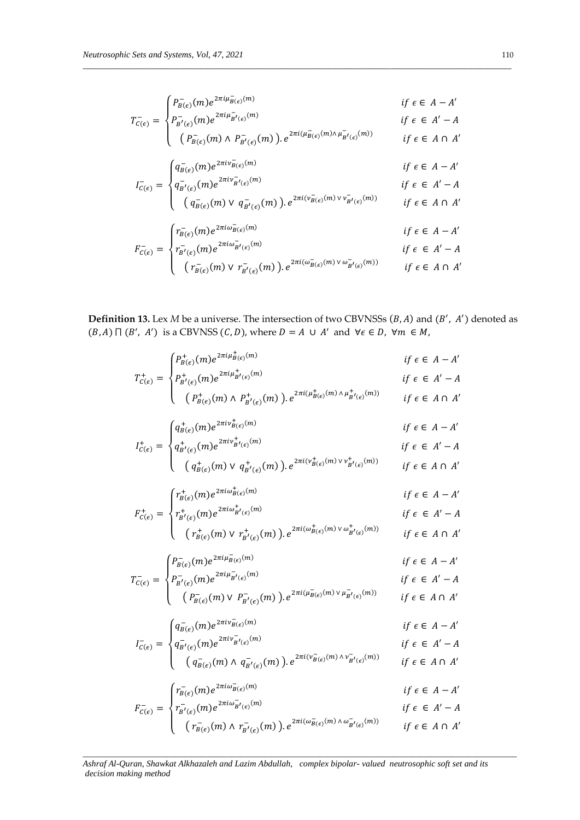$$
T_{c(\epsilon)}^{-} = \begin{cases} P_{B(\epsilon)}^{-}(m)e^{2\pi i\mu_{B(\epsilon)}^{-}(m)} & \text{if } \epsilon \in A - A' \\ P_{B'(\epsilon)}^{-}(m)e^{2\pi i\mu_{B'(\epsilon)}^{-}(m)} & \text{if } \epsilon \in A' - A \\ (P_{B(\epsilon)}^{-}(m) \wedge P_{B'(\epsilon)}^{-}(m)) e^{2\pi i(\mu_{B(\epsilon)}^{-}(m) \wedge \mu_{B'(\epsilon)}^{-}(m))} & \text{if } \epsilon \in A \cap A' \\ q_{B(\epsilon)}^{-}(m)e^{2\pi i\nu_{B(\epsilon)}^{-}(m)} & \text{if } \epsilon \in A - A' \\ q_{B'(\epsilon)}^{-}(m)e^{2\pi i\nu_{B'(\epsilon)}^{-}(m)} & \text{if } \epsilon \in A - A' \\ (q_{B(\epsilon)}^{-}(m) \vee q_{B'(\epsilon)}^{-}(m)) e^{2\pi i(\mu_{B(\epsilon)}^{-}(m) \vee \nu_{B'(\epsilon)}^{-}(m))} & \text{if } \epsilon \in A \cap A' \\ \end{cases}
$$
  

$$
F_{c(\epsilon)}^{-} = \begin{cases} r_{B(\epsilon)}^{-}(m)e^{2\pi i\omega_{B(\epsilon)}^{-}(m)} & \text{if } \epsilon \in A - A' \\ r_{B'(\epsilon)}^{-}(m)e^{2\pi i\omega_{B'(\epsilon)}^{-}(m)} & \text{if } \epsilon \in A - A' \\ r_{B'(\epsilon)}^{-}(m)e^{2\pi i\omega_{B'(\epsilon)}^{-}(m)} & \text{if } \epsilon \in A - A' \\ r_{B'(\epsilon)}^{-}(m) \vee r_{B'(\epsilon)}^{-}(m)) e^{2\pi i(\omega_{B(\epsilon)}^{-}(m) \vee \omega_{B'(\epsilon)}^{-}(m))} & \text{if } \epsilon \in A \cap A' \end{cases}
$$

**Definition 13.** Lex  $M$  be a universe. The intersection of two CBVNSSs  $(B, A)$  and  $(B', A')$  denoted as  $(B, A) \sqcap (B', A')$  is a CBVNSS  $(C, D)$ , where  $D = A \cup A'$  and  $\forall \epsilon \in D$ ,  $\forall m \in M$ ,

$$
T_{C(\epsilon)}^{+} = \begin{cases} P_{B'(\epsilon)}^{+}(m)e^{2\pi i\mu_{B'(\epsilon)}^{+}(m)} & \text{if } \epsilon \in A-A' \\ P_{B'(\epsilon)}^{+}(m)e^{2\pi i\mu_{B'(\epsilon)}^{+}(m)} & \text{if } \epsilon \in A'-A \\ (P_{B(\epsilon)}^{+}(m)e^{2\pi i\nu_{B'(\epsilon)}^{+}(m)})e^{2\pi i(\mu_{B(\epsilon)}^{+}(m)\wedge\mu_{B'(\epsilon)}^{+}(m))} & \text{if } \epsilon \in A \cap A' \\ q_{B'(\epsilon)}^{+}(m)e^{2\pi i\nu_{B'(\epsilon)}^{+}(m)} & \text{if } \epsilon \in A-A' \\ (q_{B(\epsilon)}^{+}(m)e^{2\pi i\nu_{B'(\epsilon)}^{+}(m)})e^{2\pi i(\nu_{B(\epsilon)}^{+}(m)\wedge\nu_{B'(\epsilon)}^{+}(m))} & \text{if } \epsilon \in A-A' \\ (q_{B(\epsilon)}^{+}(m)e^{2\pi i\omega_{B'(\epsilon)}^{+}(m)}e^{2\pi i(\nu_{B(\epsilon)}^{+}(m)\wedge\nu_{B'(\epsilon)}^{+}(m))} & \text{if } \epsilon \in A \cap A' \\ r_{B'(\epsilon)}^{+}(m)e^{2\pi i\omega_{B'(\epsilon)}^{+}(m)} & \text{if } \epsilon \in A-A' \\ (r_{B(\epsilon)}^{+}(m)e^{2\pi i\mu_{B(\epsilon)}^{-}(m)}e^{2\pi i(\mu_{B(\epsilon)}^{+}(m)\wedge\nu_{B'(\epsilon)}^{+}(m))} & \text{if } \epsilon \in A \cap A' \\ (r_{B(\epsilon)}^{+}(m)e^{2\pi i\mu_{B(\epsilon)}^{-}(m)} & \text{if } \epsilon \in A-A' \\ (r_{B(\epsilon)}^{+}(m)e^{2\pi i\nu_{B'(\epsilon)}^{-}(m)}e^{2\pi i(\mu_{B(\epsilon)}^{+}(m)\wedge\nu_{B'(\epsilon)}^{+}(m))} & \text{if } \epsilon \in A \cap A' \\ (r_{B(\epsilon)}^{+}(m)e^{2\pi i\nu_{B'(\epsilon)}^{-}(m)} & \text{if } \epsilon \in A-A' \\ (r_{B(\epsilon)}^{+}(m)e^{2\pi i\nu_{B'(\epsilon)}^{-}(m)} & \text{if } \epsilon \in A-A' \\ (q_{B'(\epsilon)}^{+}(m)e^{2\pi i\nu_{B'(\epsilon)}^{-}(m)} & \text{if } \epsilon \in A-A' \\ (
$$

Ashraf Al-Quran, Shawkat Alkhazaleh and Lazim Abdullah, complex bipolar-valued neutrosophic soft set and its decision making method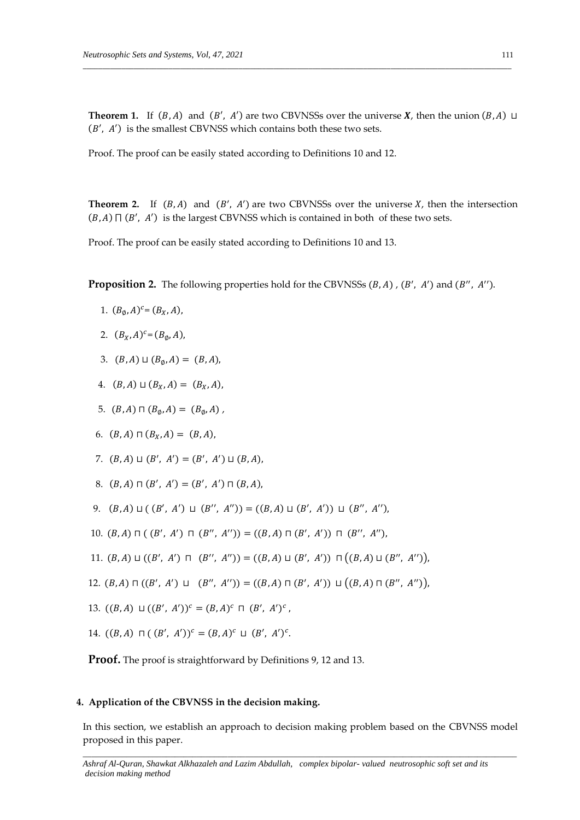**Theorem 1.** If  $(B, A)$  and  $(B', A')$  are two CBVNSSs over the universe **X**, then the union  $(B, A) \sqcup$  $(B', A')$  is the smallest CBVNSS which contains both these two sets.

\_\_\_\_\_\_\_\_\_\_\_\_\_\_\_\_\_\_\_\_\_\_\_\_\_\_\_\_\_\_\_\_\_\_\_\_\_\_\_\_\_\_\_\_\_\_\_\_\_\_\_\_\_\_\_\_\_\_\_\_\_\_\_\_\_\_\_\_\_\_\_\_\_\_\_\_\_\_\_\_\_\_\_\_\_\_\_\_\_\_\_\_\_\_\_\_\_\_\_\_\_\_\_\_\_\_\_\_\_\_

Proof. The proof can be easily stated according to Definitions 10 and 12.

**Theorem 2.** If  $(B, A)$  and  $(B', A')$  are two CBVNSSs over the universe  $X$ , then the intersection  $(B, A) \sqcap (B', A')$  is the largest CBVNSS which is contained in both of these two sets.

Proof. The proof can be easily stated according to Definitions 10 and 13.

**Proposition 2.** The following properties hold for the CBVNSSs (B, A), (B', A') and (B'', A'').

1.  $(B_{\emptyset}, A)^{c} = (B_{X}, A),$ 

2. 
$$
(B_X, A)^c = (B_{\emptyset}, A)
$$
,

- 3.  $(B, A) \sqcup (B_{\emptyset}, A) = (B, A),$
- 4.  $(B, A) \sqcup (B_x, A) = (B_x, A)$ ,
- 5.  $(B, A) \sqcap (B_{\emptyset}, A) = (B_{\emptyset}, A)$ ,
- 6.  $(B, A) \sqcap (B_x, A) = (B, A),$
- 7.  $(B, A) \sqcup (B', A') = (B', A') \sqcup (B, A),$
- 8.  $(B, A) \sqcap (B', A') = (B', A') \sqcap (B, A),$
- 9.  $(B, A) \sqcup (B', A') \sqcup (B'', A'') = ((B, A) \sqcup (B', A')) \sqcup (B'', A'')$
- 10.  $(B, A) \sqcap ((B', A') \sqcap (B'', A'')) = ((B, A) \sqcap (B', A')) \sqcap (B'', A'')$ ,
- 11.  $(B, A) \sqcup ((B', A') \sqcap (B'', A'')) = ((B, A) \sqcup (B', A')) \sqcap ((B, A) \sqcup (B'', A''))$
- 12.  $(B, A) \sqcap ((B', A') \sqcup (B'', A'')) = ((B, A) \sqcap (B', A')) \sqcup ((B, A) \sqcap (B'', A''))$
- 13.  $((B, A) \sqcup ((B', A'))^c = (B, A)^c \sqcap (B', A')^c$ ,
- 14.  $((B, A) \sqcap ((B', A'))^c = (B, A)^c \sqcup (B', A')^c$ .

**Proof.** The proof is straightforward by Definitions 9, 12 and 13.

### **4. Application of the CBVNSS in the decision making.**

*\_\_\_\_\_\_\_\_\_\_\_\_\_\_\_\_\_\_\_\_\_\_\_\_\_\_\_\_\_\_\_\_\_\_\_\_\_\_\_\_\_\_\_\_\_\_\_\_\_\_\_\_\_\_\_\_\_\_\_\_\_\_\_\_\_\_\_\_\_\_\_\_\_\_\_\_\_\_\_\_\_\_\_\_\_\_\_\_\_\_\_\_\_\_\_\_\_\_\_* In this section, we establish an approach to decision making problem based on the CBVNSS model proposed in this paper.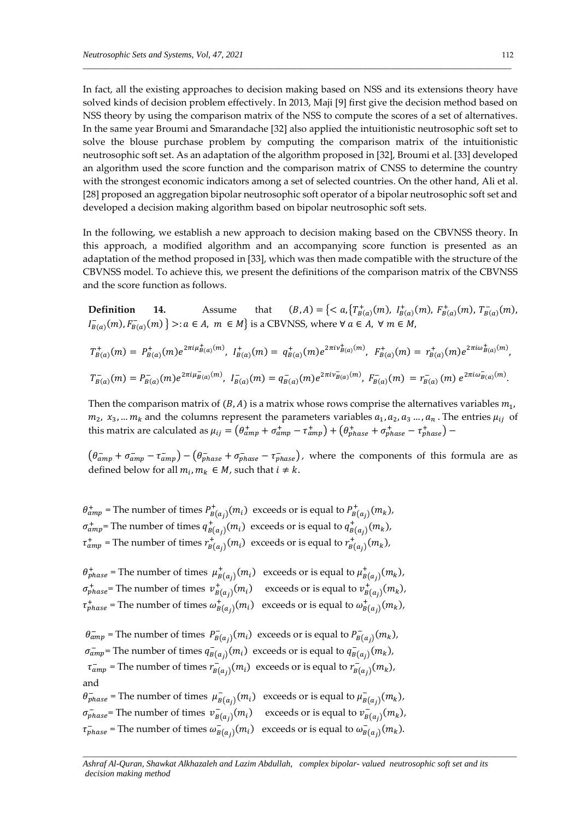In fact, all the existing approaches to decision making based on NSS and its extensions theory have solved kinds of decision problem effectively. In 2013, Maji [9] first give the decision method based on NSS theory by using the comparison matrix of the NSS to compute the scores of a set of alternatives. In the same year Broumi and Smarandache [32] also applied the intuitionistic neutrosophic soft set to solve the blouse purchase problem by computing the comparison matrix of the intuitionistic neutrosophic soft set. As an adaptation of the algorithm proposed in [32], Broumi et al. [33] developed an algorithm used the score function and the comparison matrix of CNSS to determine the country with the strongest economic indicators among a set of selected countries. On the other hand, Ali et al. [28] proposed an aggregation bipolar neutrosophic soft operator of a bipolar neutrosophic soft set and developed a decision making algorithm based on bipolar neutrosophic soft sets.

\_\_\_\_\_\_\_\_\_\_\_\_\_\_\_\_\_\_\_\_\_\_\_\_\_\_\_\_\_\_\_\_\_\_\_\_\_\_\_\_\_\_\_\_\_\_\_\_\_\_\_\_\_\_\_\_\_\_\_\_\_\_\_\_\_\_\_\_\_\_\_\_\_\_\_\_\_\_\_\_\_\_\_\_\_\_\_\_\_\_\_\_\_\_\_\_\_\_\_\_\_\_\_\_\_\_\_\_\_\_

In the following, we establish a new approach to decision making based on the CBVNSS theory. In this approach, a modified algorithm and an accompanying score function is presented as an adaptation of the method proposed in [33], which was then made compatible with the structure of the CBVNSS model. To achieve this, we present the definitions of the comparison matrix of the CBVNSS and the score function as follows.

**Definition 14.** Assume that  $(B, A) = \{ \langle a, \{ T^+_{B(a)}(m), I^+_{B(a)}(m), F^+_{B(a)}(m), T^-_{B(a)}(m), \} \rangle \}$  $I_{B(a)}^-(m), F_{B(a)}^-(m) \} >: a \in A$ ,  $m \in M$  is a CBVNSS, where  $\forall a \in A$ ,  $\forall m \in M$ ,

$$
T_{B(a)}^+(m) = P_{B(a)}^+(m)e^{2\pi i\mu_{B(a)}^+(m)}, \quad I_{B(a)}^+(m) = q_{B(a)}^+(m)e^{2\pi i\nu_{B(a)}^+(m)}, \quad F_{B(a)}^+(m) = r_{B(a)}^+(m)e^{2\pi i\omega_{B(a)}^+(m)},
$$
  

$$
T_{B(a)}^-(m) = P_{B(a)}^-(m)e^{2\pi i\mu_{B(a)}^-(m)}, \quad I_{B(a)}^-(m) = q_{B(a)}^-(m)e^{2\pi i\nu_{B(a)}^-(m)}, \quad F_{B(a)}^-(m) = r_{B(a)}^-(m)e^{2\pi i\omega_{B(a)}^-(m)}.
$$

Then the comparison matrix of  $(B, A)$  is a matrix whose rows comprise the alternatives variables  $m_1$ ,  $m_2$ ,  $x_3$ , ...  $m_k$  and the columns represent the parameters variables  $a_1$ ,  $a_2$ ,  $a_3$  ...,  $a_n$ . The entries  $\mu_{ij}$  of this matrix are calculated as  $\mu_{ij} = (\theta_{amp}^+ + \sigma_{amp}^+ - \tau_{amp}^+) + (\theta_{phase}^+ + \sigma_{phase}^+ - \tau_{phase}^+)$ 

 $(\theta_{amp}^- + \sigma_{amp}^- - \tau_{amp}^-) - (\theta_{phase}^- + \sigma_{phase}^- - \tau_{phase}^-)$ , where the components of this formula are as defined below for all  $m_i, m_k \in M$ , such that  $i \neq k$ .

 $\theta_{amp}^+$  = The number of times  $P_{B(a_j)}^+(m_i)$  exceeds or is equal to  $P_{B(a_j)}^+(m_k)$ ,  $\sigma_{amp}^+$  = The number of times  $q_{B(a_j)}^+(m_i)$  exceeds or is equal to  $q_{B(a_j)}^+(m_k)$ ,  $\tau^+_{amp}$  = The number of times  $r^+_{B(a_j)}(m_i)$  exceeds or is equal to  $r^+_{B(a_j)}(m_k)$ ,

 $\theta_{phase}^+$  = The number of times  $\mu_{B(a_j)}^+(m_i)$  exceeds or is equal to  $\mu_{B(a_j)}^+(m_k)$ ,  $\sigma_{phase}^+$  = The number of times  $v_{B(a_j)}^+(m_i)$  exceeds or is equal to  $v_{B(a_j)}^+(m_k)$ ,  $\tau^+_{phase}$  = The number of times  $\omega^+_{B(a_j)}(m_i)$  exceeds or is equal to  $\omega^+_{B(a_j)}(m_k)$ ,

 $\theta_{amp}^-$  = The number of times  $P_{B(a_j)}^-(m_i)$  exceeds or is equal to  $P_{B(a_j)}^-(m_k)$ ,  $\sigma_{amp}^-$  = The number of times  $q_{B(a_j)}^-(m_i)$  exceeds or is equal to  $q_{B(a_j)}^-(m_k)$ ,  $\tau_{amp}^-$  = The number of times  $r_{B(a_j)}^-(m_i)$  exceeds or is equal to  $r_{B(a_j)}^-(m_k)$ , and

 $\theta_{phase}^-$  = The number of times  $\mu_{B(a_j)}^-(m_i)$  exceeds or is equal to  $\mu_{B(a_j)}^-(m_k)$ ,  $\sigma_{phase}^-=$  The number of times  $v_{B(a_j)}^-(m_i)$  exceeds or is equal to  $v_{B(a_j)}^-(m_k)$ ,  $\tau_{phase}^-$  = The number of times  $\omega_{B(a_j)}^-(m_i)$  exceeds or is equal to  $\omega_{B(a_j)}^-(m_k)$ .

*Ashraf Al-Quran, Shawkat Alkhazaleh and Lazim Abdullah, complex bipolar- valued neutrosophic soft set and its decision making method*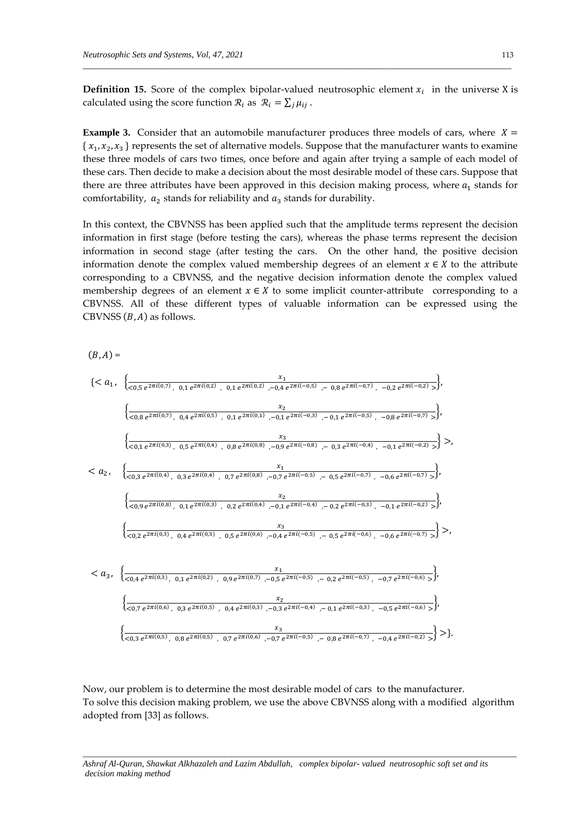**Definition 15.** Score of the complex bipolar-valued neutrosophic element  $x_i$  in the universe X is calculated using the score function  $\mathcal{R}_i$  as  $\mathcal{R}_i = \sum_j \mu_{ij}$ .

\_\_\_\_\_\_\_\_\_\_\_\_\_\_\_\_\_\_\_\_\_\_\_\_\_\_\_\_\_\_\_\_\_\_\_\_\_\_\_\_\_\_\_\_\_\_\_\_\_\_\_\_\_\_\_\_\_\_\_\_\_\_\_\_\_\_\_\_\_\_\_\_\_\_\_\_\_\_\_\_\_\_\_\_\_\_\_\_\_\_\_\_\_\_\_\_\_\_\_\_\_\_\_\_\_\_\_\_\_\_

**Example 3.** Consider that an automobile manufacturer produces three models of cars, where  $X =$  $\{x_1, x_2, x_3\}$  represents the set of alternative models. Suppose that the manufacturer wants to examine these three models of cars two times, once before and again after trying a sample of each model of these cars. Then decide to make a decision about the most desirable model of these cars. Suppose that there are three attributes have been approved in this decision making process, where  $a_1$  stands for comfortability,  $a_2$  stands for reliability and  $a_3$  stands for durability.

In this context, the CBVNSS has been applied such that the amplitude terms represent the decision information in first stage (before testing the cars), whereas the phase terms represent the decision information in second stage (after testing the cars. On the other hand, the positive decision information denote the complex valued membership degrees of an element  $x \in X$  to the attribute corresponding to a CBVNSS, and the negative decision information denote the complex valued membership degrees of an element  $x \in X$  to some implicit counter-attribute corresponding to a CBVNSS. All of these different types of valuable information can be expressed using the CBVNSS  $(B, A)$  as follows.



Now, our problem is to determine the most desirable model of cars to the manufacturer. To solve this decision making problem, we use the above CBVNSS along with a modified algorithm adopted from [33] as follows.

*\_\_\_\_\_\_\_\_\_\_\_\_\_\_\_\_\_\_\_\_\_\_\_\_\_\_\_\_\_\_\_\_\_\_\_\_\_\_\_\_\_\_\_\_\_\_\_\_\_\_\_\_\_\_\_\_\_\_\_\_\_\_\_\_\_\_\_\_\_\_\_\_\_\_\_\_\_\_\_\_\_\_\_\_\_\_\_\_\_\_\_\_\_\_\_\_\_\_\_*

*Ashraf Al-Quran, Shawkat Alkhazaleh and Lazim Abdullah, complex bipolar- valued neutrosophic soft set and its decision making method*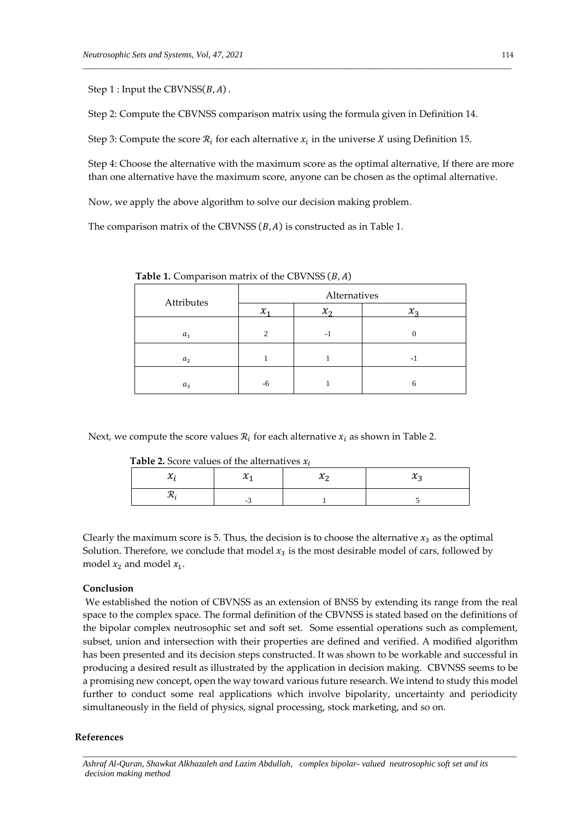Step 1 : Input the CBVNSS $(B, A)$ .

Step 2: Compute the CBVNSS comparison matrix using the formula given in Definition 14.

\_\_\_\_\_\_\_\_\_\_\_\_\_\_\_\_\_\_\_\_\_\_\_\_\_\_\_\_\_\_\_\_\_\_\_\_\_\_\_\_\_\_\_\_\_\_\_\_\_\_\_\_\_\_\_\_\_\_\_\_\_\_\_\_\_\_\_\_\_\_\_\_\_\_\_\_\_\_\_\_\_\_\_\_\_\_\_\_\_\_\_\_\_\_\_\_\_\_\_\_\_\_\_\_\_\_\_\_\_\_

Step 3: Compute the score  $\mathcal{R}_i$  for each alternative  $x_i$  in the universe X using Definition 15.

Step 4: Choose the alternative with the maximum score as the optimal alternative, If there are more than one alternative have the maximum score, anyone can be chosen as the optimal alternative.

Now, we apply the above algorithm to solve our decision making problem.

The comparison matrix of the CBVNSS  $(B, A)$  is constructed as in Table 1.

| Attributes     | Alternatives  |                   |                 |
|----------------|---------------|-------------------|-----------------|
|                | $\chi$        | $\mathcal{X}_{2}$ | $\mathcal{X}_2$ |
| a <sub>1</sub> | $\mathcal{L}$ | -1                |                 |
| a <sub>2</sub> |               |                   | - 1             |
| $a_3$          | -6            |                   | h               |

**Table 1.** Comparison matrix of the CBVNSS  $(B, A)$ 

Next, we compute the score values  $\mathcal{R}_i$  for each alternative  $x_i$  as shown in Table 2.

**Table 2.** Score values of the alternatives  $x_i$ 

| $\overline{\phantom{a}}$ |  |
|--------------------------|--|

Clearly the maximum score is 5. Thus, the decision is to choose the alternative  $x_3$  as the optimal Solution. Therefore, we conclude that model  $x_3$  is the most desirable model of cars, followed by model  $x_2$  and model  $x_1$ .

#### **Conclusion**

We established the notion of CBVNSS as an extension of BNSS by extending its range from the real space to the complex space. The formal definition of the CBVNSS is stated based on the definitions of the bipolar complex neutrosophic set and soft set. Some essential operations such as complement, subset, union and intersection with their properties are defined and verified. A modified algorithm has been presented and its decision steps constructed. It was shown to be workable and successful in producing a desired result as illustrated by the application in decision making. CBVNSS seems to be a promising new concept, open the way toward various future research. We intend to study this model further to conduct some real applications which involve bipolarity, uncertainty and periodicity simultaneously in the field of physics, signal processing, stock marketing, and so on.

#### **References**

*Ashraf Al-Quran, Shawkat Alkhazaleh and Lazim Abdullah, complex bipolar- valued neutrosophic soft set and its decision making method*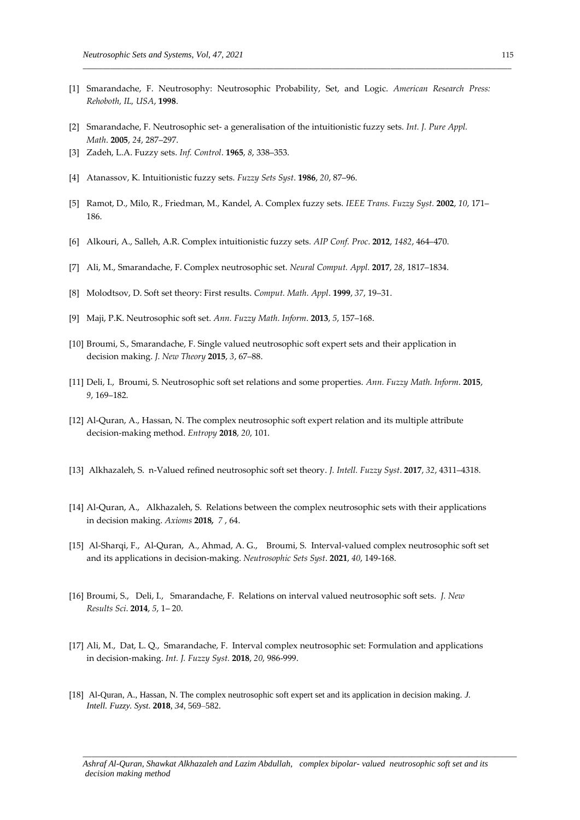[1] Smarandache, F. Neutrosophy: Neutrosophic Probability, Set, and Logic. *American Research Press: Rehoboth, IL, USA*, **1998**.

\_\_\_\_\_\_\_\_\_\_\_\_\_\_\_\_\_\_\_\_\_\_\_\_\_\_\_\_\_\_\_\_\_\_\_\_\_\_\_\_\_\_\_\_\_\_\_\_\_\_\_\_\_\_\_\_\_\_\_\_\_\_\_\_\_\_\_\_\_\_\_\_\_\_\_\_\_\_\_\_\_\_\_\_\_\_\_\_\_\_\_\_\_\_\_\_\_\_\_\_\_\_\_\_\_\_\_\_\_\_

- [2] Smarandache, F. Neutrosophic set- a generalisation of the intuitionistic fuzzy sets. *Int. J. Pure Appl. Math*. **2005**, *24*, 287–297.
- [3] Zadeh, L.A. Fuzzy sets. *Inf. Control*. **1965**, *8*, 338–353.
- [4] Atanassov, K. Intuitionistic fuzzy sets. *Fuzzy Sets Syst*. **1986**, *20*, 87–96.
- [5] Ramot, D., Milo, R., Friedman, M., Kandel, A. Complex fuzzy sets. *IEEE Trans. Fuzzy Syst.* **2002**, *10*, 171– 186.
- [6] Alkouri, A., Salleh, A.R. Complex intuitionistic fuzzy sets*. AIP Conf. Proc*. **2012**, *1482*, 464–470.
- [7] Ali, M., Smarandache, F. Complex neutrosophic set. *Neural Comput. Appl.* **2017**, *28*, 1817–1834.
- [8] Molodtsov, D. Soft set theory: First results. *Comput. Math. Appl*. **1999**, *37*, 19–31.
- [9] Maji, P.K. Neutrosophic soft set. *Ann. Fuzzy Math. Inform*. **2013**, *5*, 157–168.
- [10] Broumi, S., Smarandache, F. Single valued neutrosophic soft expert sets and their application in decision making. *J. New Theory* **2015**, *3*, 67–88.
- [11] Deli, I., Broumi, S. Neutrosophic soft set relations and some properties. *Ann. Fuzzy Math. Inform*. **2015**, *9*, 169–182.
- [12] Al-Quran, A., Hassan, N. The complex neutrosophic soft expert relation and its multiple attribute decision-making method. *Entropy* **2018**, *20*, 101.
- [13] Alkhazaleh, S. n-Valued refined neutrosophic soft set theory. *J. Intell. Fuzzy Syst*. **2017**, *32*, 4311–4318.
- [14] Al-Quran, A., Alkhazaleh, S. Relations between the complex neutrosophic sets with their applications in decision making. *Axioms* **2018***, 7* , 64.
- [15] Al-Sharqi, F., Al-Quran, A., Ahmad, A. G., Broumi, S. Interval-valued complex neutrosophic soft set and its applications in decision-making. *Neutrosophic Sets Syst*. **2021**, *40*, 149-168.
- [16] Broumi, S., Deli, I., Smarandache, F. Relations on interval valued neutrosophic soft sets. *J. New Results Sci*. **2014**, *5*, 1– 20.
- [17] Ali, M., Dat, L. Q., Smarandache, F. Interval complex neutrosophic set: Formulation and applications in decision-making. *Int. J. Fuzzy Syst.* **2018**, *20*, 986-999.
- [18] Al-Quran, A., Hassan, N. The complex neutrosophic soft expert set and its application in decision making*. J. Intell. Fuzzy. Syst.* **2018**, *34*, 569–582.

*Ashraf Al-Quran, Shawkat Alkhazaleh and Lazim Abdullah, complex bipolar- valued neutrosophic soft set and its decision making method*